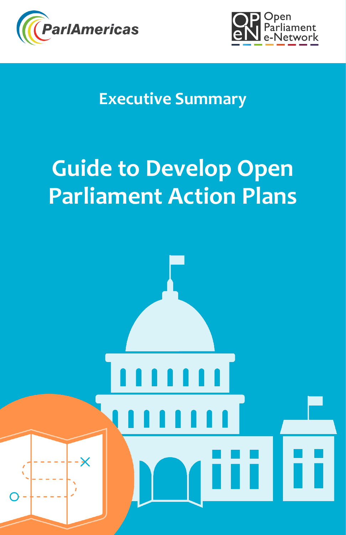



# **Executive Summary**

# **Guide to Develop Open Parliament Action Plans**

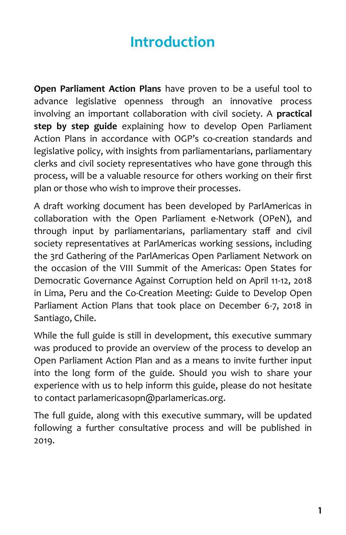# **Introduction**

**Open Parliament Action Plans** have proven to be a useful tool to advance legislative openness through an innovative process involving an important collaboration with civil society. A **practical step by step guide** explaining how to develop Open Parliament Action Plans in accordance with OGP's co-creation standards and legislative policy, with insights from parliamentarians, parliamentary clerks and civil society representatives who have gone through this process, will be a valuable resource for others working on their first plan or those who wish to improve their processes.

A draft working document has been developed by ParlAmericas in collaboration with the Open Parliament e-Network (OPeN), and through input by parliamentarians, parliamentary staff and civil society representatives at ParlAmericas working sessions, including the 3rd Gathering of the ParlAmericas Open Parliament Network on the occasion of the VIII Summit of the Americas: Open States for Democratic Governance Against Corruption held on April 11-12, 2018 in Lima, Peru and the Co-Creation Meeting: Guide to Develop Open Parliament Action Plans that took place on December 6-7, 2018 in Santiago, Chile.

While the full guide is still in development, this executive summary was produced to provide an overview of the process to develop an Open Parliament Action Plan and as a means to invite further input into the long form of the guide. Should you wish to share your experience with us to help inform this guide, please do not hesitate to contact parlamericasopn@parlamericas.org.

The full guide, along with this executive summary, will be updated following a further consultative process and will be published in 2019.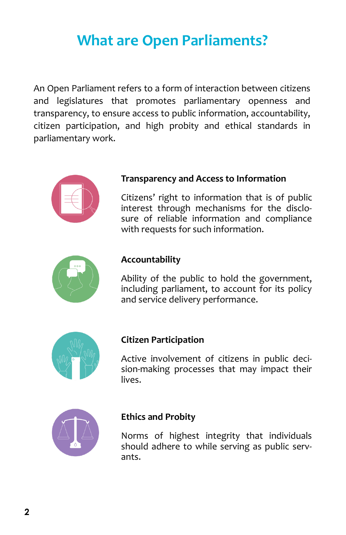### **What are Open Parliaments?**

An Open Parliament refers to a form of interaction between citizens and legislatures that promotes parliamentary openness and transparency, to ensure access to public information, accountability, citizen participation, and high probity and ethical standards in parliamentary work.



#### **Transparency and Access to Information**

Citizens' right to information that is of public interest through mechanisms for the disclosure of reliable information and compliance with requests for such information.



#### **Accountability**

Ability of the public to hold the government, including parliament, to account for its policy and service delivery performance.



#### **Citizen Participation**

Active involvement of citizens in public decision-making processes that may impact their lives.



#### **Ethics and Probity**

Norms of highest integrity that individuals should adhere to while serving as public servants.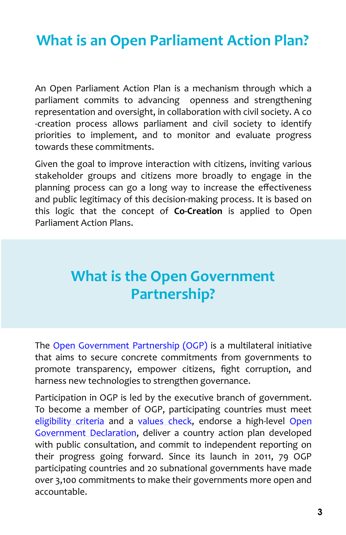### **What is an Open Parliament Action Plan?**

An Open Parliament Action Plan is a mechanism through which a parliament commits to advancing openness and strengthening representation and oversight, in collaboration with civil society. A co -creation process allows parliament and civil society to identify priorities to implement, and to monitor and evaluate progress towards these commitments.

Given the goal to improve interaction with citizens, inviting various stakeholder groups and citizens more broadly to engage in the planning process can go a long way to increase the effectiveness and public legitimacy of this decision-making process. It is based on this logic that the concept of **Co-Creation** is applied to Open Parliament Action Plans.

### **What is the Open Government Partnership?**

The [Open Government Partnership \(OGP\)](https://www.opengovpartnership.org/) is a multilateral initiative that aims to secure concrete commitments from governments to promote transparency, empower citizens, fight corruption, and harness new technologies to strengthen governance.

Participation in OGP is led by the executive branch of government. To become a member of OGP, participating countries must meet [eligibility criteria](https://www.opengovpartnership.org/how-join) and a [values check,](https://www.opengovpartnership.org/resources/eligibility-criteria) endorse a high-level Open [Government Declaration,](https://www.opengovpartnership.org/open-government-declaration) deliver a country action plan developed with public consultation, and commit to independent reporting on their progress going forward. Since its launch in 2011, 79 OGP participating countries and 20 subnational governments have made over 3,100 commitments to make their governments more open and accountable.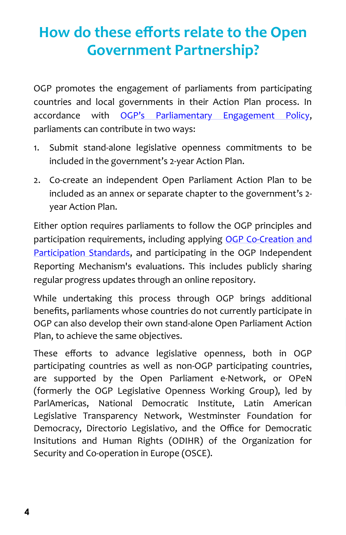# **How do these efforts relate to the Open Government Partnership?**

OGP promotes the engagement of parliaments from participating countries and local governments in their Action Plan process. In accordance with OGP'[s Parliamentary Engagement Policy,](https://www.opengovpartnership.org/resources/parliamentary-engagement-policy-guidance-2017) parliaments can contribute in two ways:

- 1. Submit stand-alone legislative openness commitments to be included in the government's 2-year Action Plan.
- 2. Co-create an independent Open Parliament Action Plan to be included as an annex or separate chapter to the government's 2 year Action Plan.

Either option requires parliaments to follow the OGP principles and participation requirements, including applying OGP Co-[Creation and](https://www.opengovpartnership.org/ogp-participation-co-creation-standards)  [Participation Standards,](https://www.opengovpartnership.org/ogp-participation-co-creation-standards) and participating in the OGP Independent Reporting Mechanism's evaluations. This includes publicly sharing regular progress updates through an online repository.

While undertaking this process through OGP brings additional benefits, parliaments whose countries do not currently participate in OGP can also develop their own stand-alone Open Parliament Action Plan, to achieve the same objectives.

These efforts to advance legislative openness, both in OGP participating countries as well as non-OGP participating countries, are supported by the Open Parliament e-Network, or OPeN (formerly the OGP Legislative Openness Working Group), led by ParlAmericas, National Democratic Institute, Latin American Legislative Transparency Network, Westminster Foundation for Democracy, Directorio Legislativo, and the Office for Democratic Insitutions and Human Rights (ODIHR) of the Organization for Security and Co-operation in Europe (OSCE).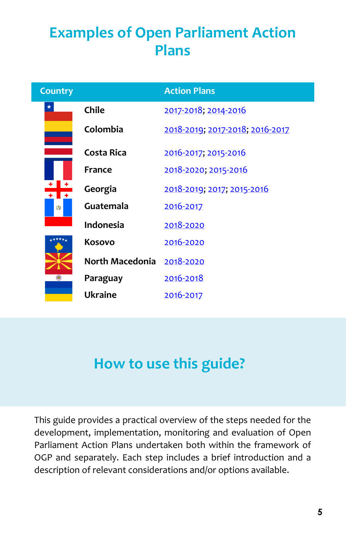# **Examples of Open Parliament Action Plans**

| <b>Country</b> |                 | <b>Action Plans</b>             |
|----------------|-----------------|---------------------------------|
| $^\star$       | Chile           | 2017-2018; 2014-2016            |
| Ŵ              | Colombia        | 2018-2019; 2017-2018; 2016-2017 |
|                | Costa Rica      | 2016-2017; 2015-2016            |
|                | France          | 2018-2020; 2015-2016            |
|                | Georgia         | 2018-2019; 2017; 2015-2016      |
|                | Guatemala       | 2016-2017                       |
|                | Indonesia       | 2018-2020                       |
|                | Kosovo          | 2016-2020                       |
| ◉              | North Macedonia | 2018-2020                       |
|                | Paraguay        | 2016-2018                       |
|                | <b>Ukraine</b>  | 2016-2017                       |

### **How to use this guide?**

This guide provides a practical overview of the steps needed for the development, implementation, monitoring and evaluation of Open Parliament Action Plans undertaken both within the framework of OGP and separately. Each step includes a brief introduction and a description of relevant considerations and/or options available.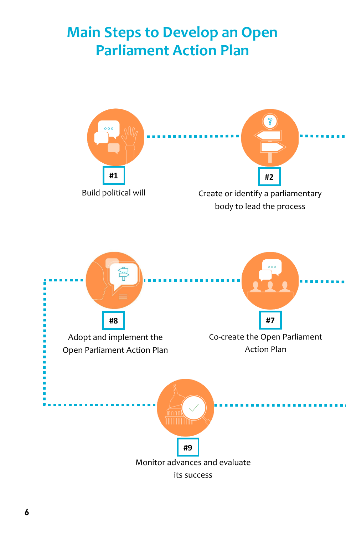### **Main Steps to Develop an Open Parliament Action Plan**

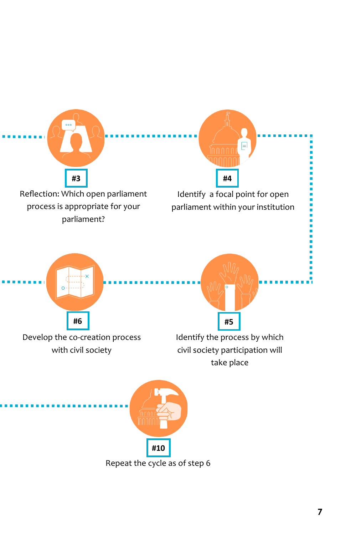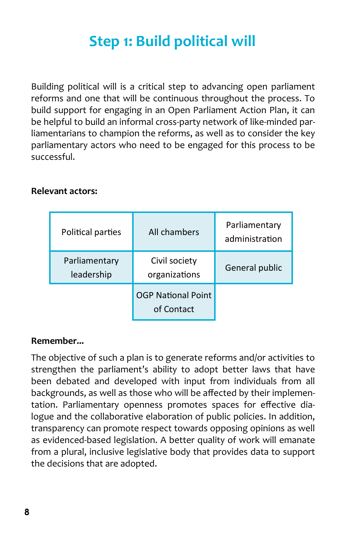# **Step 1: Build political will**

Building political will is a critical step to advancing open parliament reforms and one that will be continuous throughout the process. To build support for engaging in an Open Parliament Action Plan, it can be helpful to build an informal cross-party network of like-minded parliamentarians to champion the reforms, as well as to consider the key parliamentary actors who need to be engaged for this process to be successful.

#### **Relevant actors:**

| Political parties           | All chambers                            | Parliamentary<br>administration |
|-----------------------------|-----------------------------------------|---------------------------------|
| Parliamentary<br>leadership | Civil society<br>organizations          | General public                  |
|                             | <b>OGP National Point</b><br>of Contact |                                 |

#### **Remember...**

The objective of such a plan is to generate reforms and/or activities to strengthen the parliament's ability to adopt better laws that have been debated and developed with input from individuals from all backgrounds, as well as those who will be affected by their implementation. Parliamentary openness promotes spaces for effective dialogue and the collaborative elaboration of public policies. In addition, transparency can promote respect towards opposing opinions as well as evidenced-based legislation. A better quality of work will emanate from a plural, inclusive legislative body that provides data to support the decisions that are adopted.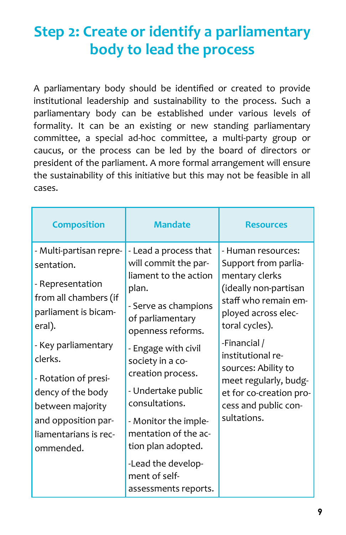### **Step 2: Create or identify a parliamentary body to lead the process**

A parliamentary body should be identified or created to provide institutional leadership and sustainability to the process. Such a parliamentary body can be established under various levels of formality. It can be an existing or new standing parliamentary committee, a special ad-hoc committee, a multi-party group or caucus, or the process can be led by the board of directors or president of the parliament. A more formal arrangement will ensure the sustainability of this initiative but this may not be feasible in all cases.

| <b>Composition</b>                                                                                                                                                                                                                                                                   | <b>Mandate</b>                                                                                                                                                                                                                                                                                                                                                        | <b>Resources</b>                                                                                                                                                                                                                                                                                              |
|--------------------------------------------------------------------------------------------------------------------------------------------------------------------------------------------------------------------------------------------------------------------------------------|-----------------------------------------------------------------------------------------------------------------------------------------------------------------------------------------------------------------------------------------------------------------------------------------------------------------------------------------------------------------------|---------------------------------------------------------------------------------------------------------------------------------------------------------------------------------------------------------------------------------------------------------------------------------------------------------------|
| - Multi-partisan repre-<br>sentation.<br>- Representation<br>from all chambers (if<br>parliament is bicam-<br>eral).<br>- Key parliamentary<br>clerks.<br>- Rotation of presi-<br>dency of the body<br>between majority<br>and opposition par-<br>liamentarians is rec-<br>ommended. | - Lead a process that<br>will commit the par-<br>liament to the action<br>plan.<br>- Serve as champions<br>of parliamentary<br>openness reforms.<br>- Engage with civil<br>society in a co-<br>creation process.<br>- Undertake public<br>consultations.<br>- Monitor the imple-<br>mentation of the ac-<br>tion plan adopted.<br>-Lead the develop-<br>ment of self- | - Human resources:<br>Support from parlia-<br>mentary clerks<br>(ideally non-partisan<br>staff who remain em-<br>ployed across elec-<br>toral cycles).<br>-Financial /<br>institutional re-<br>sources: Ability to<br>meet regularly, budg-<br>et for co-creation pro-<br>cess and public con-<br>sultations. |
|                                                                                                                                                                                                                                                                                      | assessments reports.                                                                                                                                                                                                                                                                                                                                                  |                                                                                                                                                                                                                                                                                                               |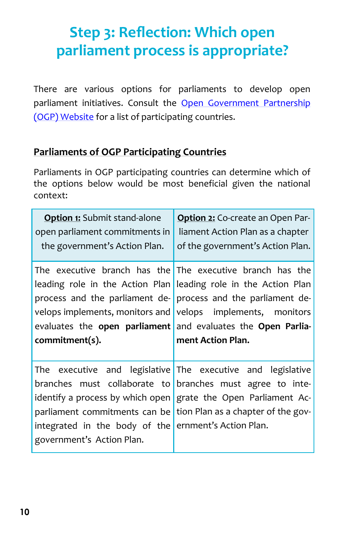## **Step 3: Reflection: Which open parliament process is appropriate?**

There are various options for parliaments to develop open parliament initiatives. Consult the Open Government Partnership [\(OGP\) Website](https://www.opengovpartnership.org/participants) for a list of participating countries.

#### **Parliaments of OGP Participating Countries**

Parliaments in OGP participating countries can determine which of the options below would be most beneficial given the national context:

| <b>Option 1:</b> Submit stand-alone<br>open parliament commitments in<br>the government's Action Plan. | Option 2: Co-create an Open Par-<br>liament Action Plan as a chapter<br>of the government's Action Plan. |
|--------------------------------------------------------------------------------------------------------|----------------------------------------------------------------------------------------------------------|
|                                                                                                        | The executive branch has the The executive branch has the                                                |
|                                                                                                        | leading role in the Action Plan leading role in the Action Plan                                          |
| process and the parliament de- process and the parliament de-                                          |                                                                                                          |
| velops implements, monitors and velops implements, monitors                                            |                                                                                                          |
| evaluates the open parliament and evaluates the Open Parlia-                                           |                                                                                                          |
|                                                                                                        |                                                                                                          |
| commitment(s).                                                                                         | ment Action Plan.                                                                                        |
|                                                                                                        |                                                                                                          |
| The                                                                                                    | executive and legislative The executive and legislative                                                  |
| branches must collaborate to branches must agree to inte-                                              |                                                                                                          |
| identify a process by which open                                                                       | grate the Open Parliament Ac-                                                                            |
| parliament commitments can be                                                                          | tion Plan as a chapter of the gov-                                                                       |
| integrated in the body of the ernment's Action Plan.                                                   |                                                                                                          |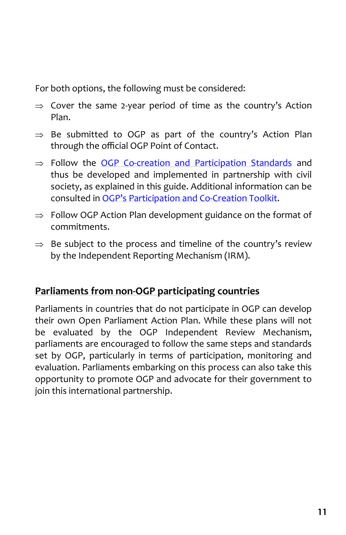For both options, the following must be considered:

- $\Rightarrow$  Cover the same 2-year period of time as the country's Action Plan.
- $\Rightarrow$  Be submitted to OGP as part of the country's Action Plan through the official OGP Point of Contact.
- $\Rightarrow$  Follow the OGP Co-[creation and Participation Standards](https://www.opengovpartnership.org/ogp-participation-co-creation-standards) and thus be developed and implemented in partnership with civil society, as explained in this guide. Additional information can be consulted in OGP'[s Participation and Co](https://www.opengovpartnership.org/sites/default/files/OGP_Participation-CoCreation-Toolkit_20180509.pdf)-Creation Toolkit.
- $\Rightarrow$  Follow OGP Action Plan development guidance on the format of commitments.
- $\Rightarrow$  Be subject to the process and timeline of the country's review by the Independent Reporting Mechanism (IRM).

#### **Parliaments from non-OGP participating countries**

Parliaments in countries that do not participate in OGP can develop their own Open Parliament Action Plan. While these plans will not be evaluated by the OGP Independent Review Mechanism, parliaments are encouraged to follow the same steps and standards set by OGP, particularly in terms of participation, monitoring and evaluation. Parliaments embarking on this process can also take this opportunity to promote OGP and advocate for their government to join this international partnership.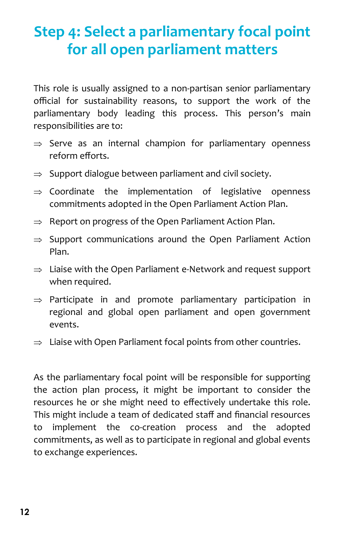# **Step 4: Select a parliamentary focal point for all open parliament matters**

This role is usually assigned to a non-partisan senior parliamentary official for sustainability reasons, to support the work of the parliamentary body leading this process. This person's main responsibilities are to:

- $\Rightarrow$  Serve as an internal champion for parliamentary openness reform efforts.
- $\Rightarrow$  Support dialogue between parliament and civil society.
- $\Rightarrow$  Coordinate the implementation of legislative openness commitments adopted in the Open Parliament Action Plan.
- $\Rightarrow$  Report on progress of the Open Parliament Action Plan.
- $\Rightarrow$  Support communications around the Open Parliament Action Plan.
- $\Rightarrow$  Liaise with the Open Parliament e-Network and request support when required.
- $\Rightarrow$  Participate in and promote parliamentary participation in regional and global open parliament and open government events.
- $\Rightarrow$  Liaise with Open Parliament focal points from other countries.

As the parliamentary focal point will be responsible for supporting the action plan process, it might be important to consider the resources he or she might need to effectively undertake this role. This might include a team of dedicated staff and financial resources to implement the co-creation process and the adopted commitments, as well as to participate in regional and global events to exchange experiences.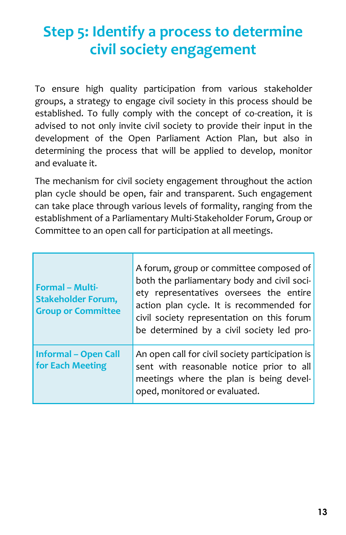# **Step 5: Identify a process to determine civil society engagement**

To ensure high quality participation from various stakeholder groups, a strategy to engage civil society in this process should be established. To fully comply with the concept of co-creation, it is advised to not only invite civil society to provide their input in the development of the Open Parliament Action Plan, but also in determining the process that will be applied to develop, monitor and evaluate it.

The mechanism for civil society engagement throughout the action plan cycle should be open, fair and transparent. Such engagement can take place through various levels of formality, ranging from the establishment of a Parliamentary Multi-Stakeholder Forum, Group or Committee to an open call for participation at all meetings.

| <b>Formal - Multi-</b><br><b>Stakeholder Forum,</b><br><b>Group or Committee</b> | A forum, group or committee composed of<br>both the parliamentary body and civil soci-<br>ety representatives oversees the entire<br>action plan cycle. It is recommended for<br>civil society representation on this forum<br>be determined by a civil society led pro- |
|----------------------------------------------------------------------------------|--------------------------------------------------------------------------------------------------------------------------------------------------------------------------------------------------------------------------------------------------------------------------|
| <b>Informal - Open Call</b><br>for Each Meeting                                  | An open call for civil society participation is<br>sent with reasonable notice prior to all<br>meetings where the plan is being devel-<br>oped, monitored or evaluated.                                                                                                  |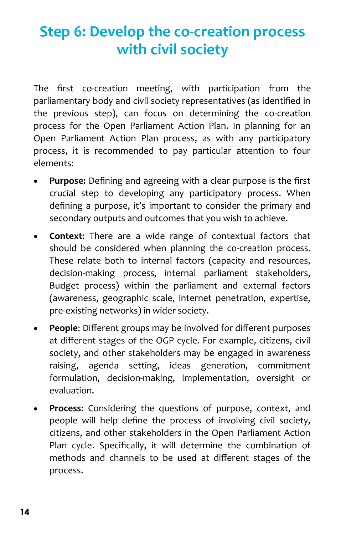# **Step 6: Develop the co-creation process with civil society**

The first co-creation meeting, with participation from the parliamentary body and civil society representatives (as identified in the previous step), can focus on determining the co-creation process for the Open Parliament Action Plan. In planning for an Open Parliament Action Plan process, as with any participatory process, it is recommended to pay particular attention to four elements:

- **Purpose:** Defining and agreeing with a clear purpose is the first crucial step to developing any participatory process. When defining a purpose, it's important to consider the primary and secondary outputs and outcomes that you wish to achieve.
- **Context**: There are a wide range of contextual factors that should be considered when planning the co-creation process. These relate both to internal factors (capacity and resources, decision-making process, internal parliament stakeholders, Budget process) within the parliament and external factors (awareness, geographic scale, internet penetration, expertise, pre-existing networks) in wider society.
- **People**: Different groups may be involved for different purposes at different stages of the OGP cycle. For example, citizens, civil society, and other stakeholders may be engaged in awareness raising, agenda setting, ideas generation, commitment formulation, decision-making, implementation, oversight or evaluation.
- **Process**: Considering the questions of purpose, context, and people will help define the process of involving civil society, citizens, and other stakeholders in the Open Parliament Action Plan cycle. Specifically, it will determine the combination of methods and channels to be used at different stages of the process.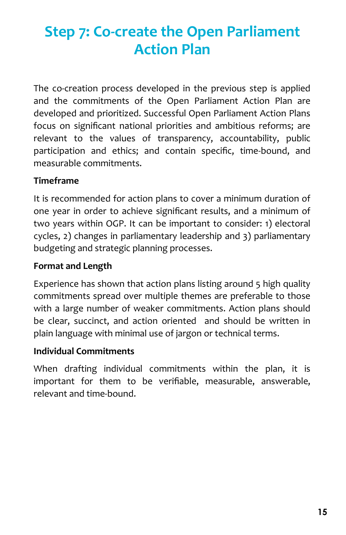## **Step 7: Co-create the Open Parliament Action Plan**

The co-creation process developed in the previous step is applied and the commitments of the Open Parliament Action Plan are developed and prioritized. Successful Open Parliament Action Plans focus on significant national priorities and ambitious reforms; are relevant to the values of transparency, accountability, public participation and ethics; and contain specific, time-bound, and measurable commitments.

#### **Timeframe**

It is recommended for action plans to cover a minimum duration of one year in order to achieve significant results, and a minimum of two years within OGP. It can be important to consider: 1) electoral cycles, 2) changes in parliamentary leadership and 3) parliamentary budgeting and strategic planning processes.

#### **Format and Length**

Experience has shown that action plans listing around 5 high quality commitments spread over multiple themes are preferable to those with a large number of weaker commitments. Action plans should be clear, succinct, and action oriented and should be written in plain language with minimal use of jargon or technical terms.

#### **Individual Commitments**

When drafting individual commitments within the plan, it is important for them to be verifiable, measurable, answerable, relevant and time-bound.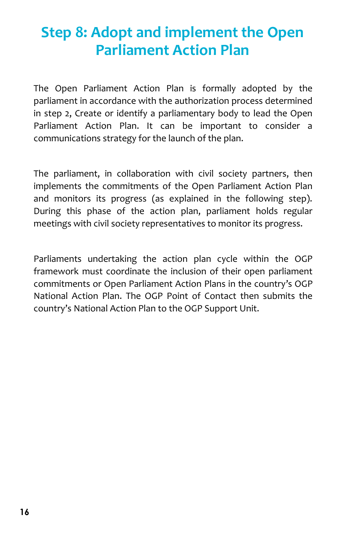### **Step 8: Adopt and implement the Open Parliament Action Plan**

The Open Parliament Action Plan is formally adopted by the parliament in accordance with the authorization process determined in step 2, Create or identify a parliamentary body to lead the Open Parliament Action Plan. It can be important to consider a communications strategy for the launch of the plan.

The parliament, in collaboration with civil society partners, then implements the commitments of the Open Parliament Action Plan and monitors its progress (as explained in the following step). During this phase of the action plan, parliament holds regular meetings with civil society representatives to monitor its progress.

Parliaments undertaking the action plan cycle within the OGP framework must coordinate the inclusion of their open parliament commitments or Open Parliament Action Plans in the country's OGP National Action Plan. The OGP Point of Contact then submits the country's National Action Plan to the OGP Support Unit.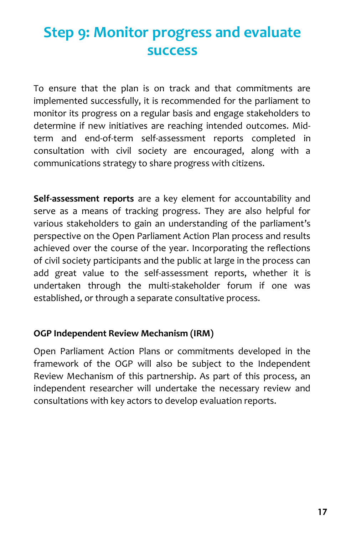### **Step 9: Monitor progress and evaluate success**

To ensure that the plan is on track and that commitments are implemented successfully, it is recommended for the parliament to monitor its progress on a regular basis and engage stakeholders to determine if new initiatives are reaching intended outcomes. Midterm and end-of-term self-assessment reports completed in consultation with civil society are encouraged, along with a communications strategy to share progress with citizens.

**Self-assessment reports** are a key element for accountability and serve as a means of tracking progress. They are also helpful for various stakeholders to gain an understanding of the parliament's perspective on the Open Parliament Action Plan process and results achieved over the course of the year. Incorporating the reflections of civil society participants and the public at large in the process can add great value to the self-assessment reports, whether it is undertaken through the multi-stakeholder forum if one was established, or through a separate consultative process.

#### **OGP Independent Review Mechanism (IRM)**

Open Parliament Action Plans or commitments developed in the framework of the OGP will also be subject to the Independent Review Mechanism of this partnership. As part of this process, an independent researcher will undertake the necessary review and consultations with key actors to develop evaluation reports.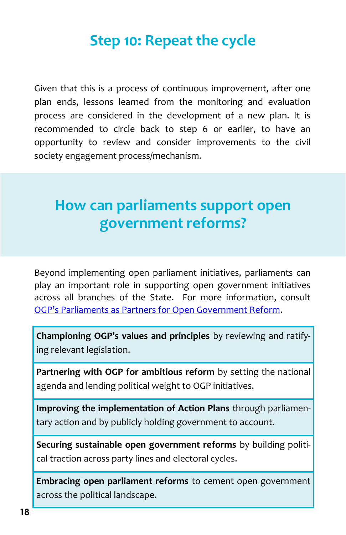### **Step 10: Repeat the cycle**

Given that this is a process of continuous improvement, after one plan ends, lessons learned from the monitoring and evaluation process are considered in the development of a new plan. It is recommended to circle back to step 6 or earlier, to have an opportunity to review and consider improvements to the civil society engagement process/mechanism.

### **How can parliaments support open government reforms?**

Beyond implementing open parliament initiatives, parliaments can play an important role in supporting open government initiatives across all branches of the State. For more information, consult OGP'[s Parliaments as Partners for Open Government Reform.](https://www.opengovpartnership.org/sites/default/files/OGP_Parliaments-Partners_January2018.pdf)

**Championing OGP's values and principles** by reviewing and ratifying relevant legislation.

**Partnering with OGP for ambitious reform** by setting the national agenda and lending political weight to OGP initiatives.

**Improving the implementation of Action Plans** through parliamentary action and by publicly holding government to account.

**Securing sustainable open government reforms** by building political traction across party lines and electoral cycles.

**Embracing open parliament reforms** to cement open government across the political landscape.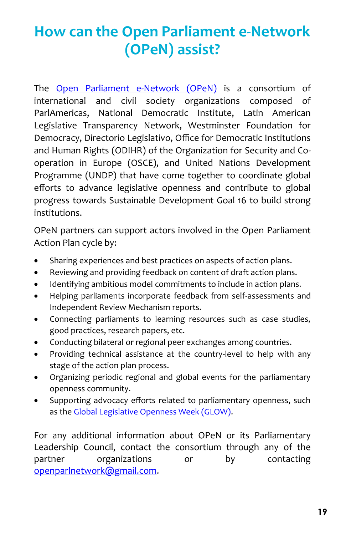# **How can the Open Parliament e-Network (OPeN) assist?**

The [Open Parliament e](https://www.openparliamentenetwork.org/)-Network (OPeN) is a consortium of international and civil society organizations composed of ParlAmericas, National Democratic Institute, Latin American Legislative Transparency Network, Westminster Foundation for Democracy, Directorio Legislativo, Office for Democratic Institutions and Human Rights (ODIHR) of the Organization for Security and Cooperation in Europe (OSCE), and United Nations Development Programme (UNDP) that have come together to coordinate global efforts to advance legislative openness and contribute to global progress towards Sustainable Development Goal 16 to build strong institutions.

OPeN partners can support actors involved in the Open Parliament Action Plan cycle by:

- Sharing experiences and best practices on aspects of action plans.
- Reviewing and providing feedback on content of draft action plans.
- Identifying ambitious model commitments to include in action plans.
- Helping parliaments incorporate feedback from self-assessments and Independent Review Mechanism reports.
- Connecting parliaments to learning resources such as case studies, good practices, research papers, etc.
- Conducting bilateral or regional peer exchanges among countries.
- Providing technical assistance at the country-level to help with any stage of the action plan process.
- Organizing periodic regional and global events for the parliamentary openness community.
- Supporting advocacy efforts related to parliamentary openness, such as the [Global Legislative Openness Week \(GLOW\).](http://openparlweek.org/)

For any additional information about OPeN or its Parliamentary Leadership Council, contact the consortium through any of the partner organizations or by contacting [openparlnetwork@gmail.com.](mailto:openparlnetwork@gmail.com)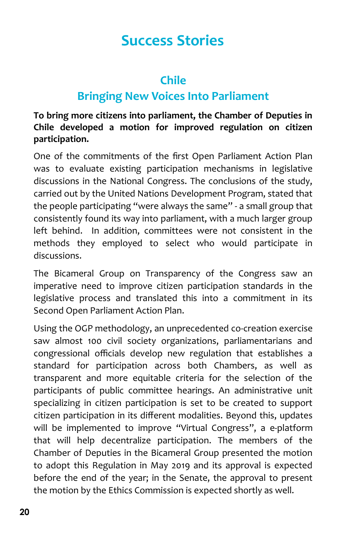### **Chile**

### **Bringing New Voices Into Parliament**

**To bring more citizens into parliament, the Chamber of Deputies in Chile developed a motion for improved regulation on citizen participation.** 

One of the commitments of the first Open Parliament Action Plan was to evaluate existing participation mechanisms in legislative discussions in the National Congress. The conclusions of the study, carried out by the United Nations Development Program, stated that the people participating "were always the same" - a small group that consistently found its way into parliament, with a much larger group left behind. In addition, committees were not consistent in the methods they employed to select who would participate in discussions.

The Bicameral Group on Transparency of the Congress saw an imperative need to improve citizen participation standards in the legislative process and translated this into a commitment in its Second Open Parliament Action Plan.

Using the OGP methodology, an unprecedented co-creation exercise saw almost 100 civil society organizations, parliamentarians and congressional officials develop new regulation that establishes a standard for participation across both Chambers, as well as transparent and more equitable criteria for the selection of the participants of public committee hearings. An administrative unit specializing in citizen participation is set to be created to support citizen participation in its different modalities. Beyond this, updates will be implemented to improve "Virtual Congress", a e-platform that will help decentralize participation. The members of the Chamber of Deputies in the Bicameral Group presented the motion to adopt this Regulation in May 2019 and its approval is expected before the end of the year; in the Senate, the approval to present the motion by the Ethics Commission is expected shortly as well.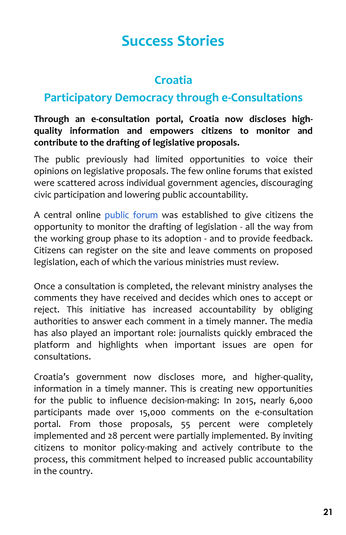### **Croatia**

### **Participatory Democracy through e-Consultations**

#### **Through an e-consultation portal, Croatia now discloses highquality information and empowers citizens to monitor and contribute to the drafting of legislative proposals.**

The public previously had limited opportunities to voice their opinions on legislative proposals. The few online forums that existed were scattered across individual government agencies, discouraging civic participation and lowering public accountability.

A central online [public forum](https://esavjetovanja.gov.hr/ECon/Dashboard) was established to give citizens the opportunity to monitor the drafting of legislation - all the way from the working group phase to its adoption - and to provide feedback. Citizens can register on the site and leave comments on proposed legislation, each of which the various ministries must review.

Once a consultation is completed, the relevant ministry analyses the comments they have received and decides which ones to accept or reject. This initiative has increased accountability by obliging authorities to answer each comment in a timely manner. The media has also played an important role: journalists quickly embraced the platform and highlights when important issues are open for consultations.

Croatia's government now discloses more, and higher-quality, information in a timely manner. This is creating new opportunities for the public to influence decision-making: In 2015, nearly 6,000 participants made over 15,000 comments on the e-consultation portal. From those proposals, 55 percent were completely implemented and 28 percent were partially implemented. By inviting citizens to monitor policy-making and actively contribute to the process, this commitment helped to increased public accountability in the country.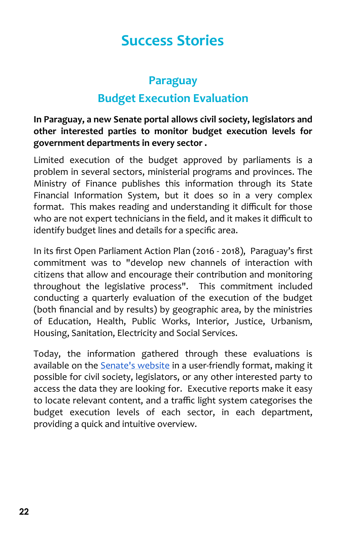### **Paraguay Budget Execution Evaluation**

**In Paraguay, a new Senate portal allows civil society, legislators and other interested parties to monitor budget execution levels for government departments in every sector .**

Limited execution of the budget approved by parliaments is a problem in several sectors, ministerial programs and provinces. The Ministry of Finance publishes this information through its State Financial Information System, but it does so in a very complex format. This makes reading and understanding it difficult for those who are not expert technicians in the field, and it makes it difficult to identify budget lines and details for a specific area.

In its first Open Parliament Action Plan (2016 - 2018), Paraguay's first commitment was to "develop new channels of interaction with citizens that allow and encourage their contribution and monitoring throughout the legislative process". This commitment included conducting a quarterly evaluation of the execution of the budget (both financial and by results) by geographic area, by the ministries of Education, Health, Public Works, Interior, Justice, Urbanism, Housing, Sanitation, Electricity and Social Services.

Today, the information gathered through these evaluations is available on the [Senate's website](http://www.senado.gov.py/index.php/menu-contenido/listado-de-categoria-contenido/222-categoria-tablero-control) in a user-friendly format, making it possible for civil society, legislators, or any other interested party to access the data they are looking for. Executive reports make it easy to locate relevant content, and a traffic light system categorises the budget execution levels of each sector, in each department, providing a quick and intuitive overview.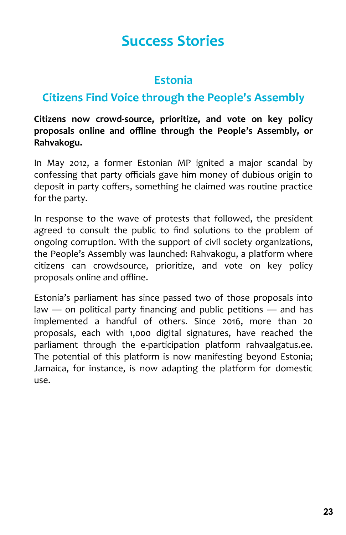### **Estonia**

### **Citizens Find Voice through the People's Assembly**

**Citizens now crowd-source, prioritize, and vote on key policy proposals online and offline through the People's Assembly, or Rahvakogu.** 

In May 2012, a former Estonian MP ignited a major scandal by confessing that party officials gave him money of dubious origin to deposit in party coffers, something he claimed was routine practice for the party.

In response to the wave of protests that followed, the president agreed to consult the public to find solutions to the problem of ongoing corruption. With the support of civil society organizations, the People's Assembly was launched: Rahvakogu, a platform where citizens can crowdsource, prioritize, and vote on key policy proposals online and offline.

Estonia's parliament has since passed two of those proposals into law — on political party financing and public petitions — and has implemented a handful of others. Since 2016, more than 20 proposals, each with 1,000 digital signatures, have reached the parliament through the e-participation platform rahvaalgatus.ee. The potential of this platform is now manifesting beyond Estonia; Jamaica, for instance, is now adapting the platform for domestic use.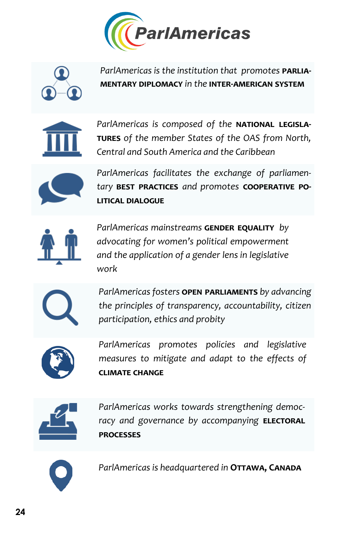![](_page_25_Picture_0.jpeg)

![](_page_25_Picture_1.jpeg)

ParlAmericas is the institution that promotes **PARLIAmentary diplomacy** *in the* **inter-american system**

![](_page_25_Picture_3.jpeg)

ParlAmericas is composed of the **NATIONAL LEGISLAtures** *of the member States of the OAS from North, Central and South America and the Caribbean*

![](_page_25_Picture_5.jpeg)

*ParlAmericas facilitates the exchange of parliamentary* **best practices** *and promotes* **cooperative political dialogue**

![](_page_25_Picture_7.jpeg)

**ParlAmericas mainstreams GENDER EQUALITY** by *advocating for women's political empowerment and the application of a gender lens in legislative work*

![](_page_25_Picture_9.jpeg)

*ParlAmericas fosters* **open parliaments** *by advancing the principles of transparency, accountability, citizen participation, ethics and probity* 

![](_page_25_Picture_11.jpeg)

*ParlAmericas promotes policies and legislative measures to mitigate and adapt to the effects of* **climate change**

![](_page_25_Picture_13.jpeg)

*ParlAmericas works towards strengthening democ*racy and governance by accompanying **ELECTORAL processes**

![](_page_25_Picture_15.jpeg)

ParlAmericas is headquartered in **OTTAWA, CANADA**